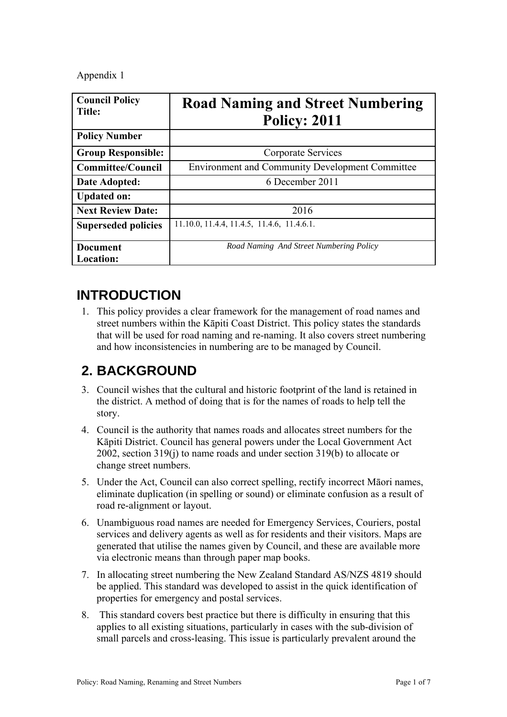Appendix 1

| <b>Council Policy</b><br><b>Title:</b> | <b>Road Naming and Street Numbering</b><br><b>Policy: 2011</b> |
|----------------------------------------|----------------------------------------------------------------|
| <b>Policy Number</b>                   |                                                                |
| <b>Group Responsible:</b>              | Corporate Services                                             |
| <b>Committee/Council</b>               | <b>Environment and Community Development Committee</b>         |
| Date Adopted:                          | 6 December 2011                                                |
| <b>Updated on:</b>                     |                                                                |
| <b>Next Review Date:</b>               | 2016                                                           |
| <b>Superseded policies</b>             | 11.10.0, 11.4.4, 11.4.5, 11.4.6, 11.4.6.1.                     |
| <b>Document</b>                        | Road Naming And Street Numbering Policy                        |
| Location:                              |                                                                |

## **INTRODUCTION**

1. This policy provides a clear framework for the management of road names and street numbers within the Kāpiti Coast District. This policy states the standards that will be used for road naming and re-naming. It also covers street numbering and how inconsistencies in numbering are to be managed by Council.

# **2. BACKGROUND**

- 3. Council wishes that the cultural and historic footprint of the land is retained in the district. A method of doing that is for the names of roads to help tell the story.
- 4. Council is the authority that names roads and allocates street numbers for the Kāpiti District. Council has general powers under the Local Government Act 2002, section 319(j) to name roads and under section 319(b) to allocate or change street numbers.
- 5. Under the Act, Council can also correct spelling, rectify incorrect Māori names, eliminate duplication (in spelling or sound) or eliminate confusion as a result of road re-alignment or layout.
- 6. Unambiguous road names are needed for Emergency Services, Couriers, postal services and delivery agents as well as for residents and their visitors. Maps are generated that utilise the names given by Council, and these are available more via electronic means than through paper map books.
- 7. In allocating street numbering the New Zealand Standard AS/NZS 4819 should be applied. This standard was developed to assist in the quick identification of properties for emergency and postal services.
- 8. This standard covers best practice but there is difficulty in ensuring that this applies to all existing situations, particularly in cases with the sub-division of small parcels and cross-leasing. This issue is particularly prevalent around the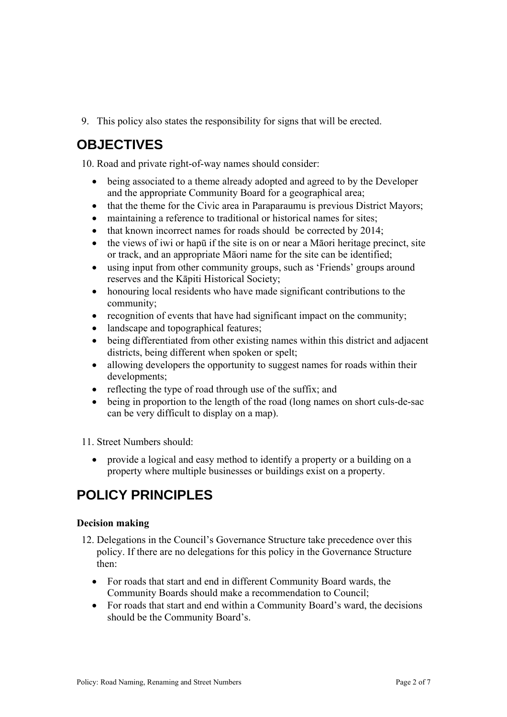9. This policy also states the responsibility for signs that will be erected.

# **OBJECTIVES**

10. Road and private right-of-way names should consider:

- being associated to a theme already adopted and agreed to by the Developer and the appropriate Community Board for a geographical area;
- that the theme for the Civic area in Paraparaumu is previous District Mayors;
- maintaining a reference to traditional or historical names for sites;
- $\bullet$  that known incorrect names for roads should be corrected by 2014;
- the views of iwi or hapū if the site is on or near a Māori heritage precinct, site or track, and an appropriate Māori name for the site can be identified;
- using input from other community groups, such as 'Friends' groups around reserves and the Kāpiti Historical Society;
- honouring local residents who have made significant contributions to the community;
- recognition of events that have had significant impact on the community;
- landscape and topographical features;
- being differentiated from other existing names within this district and adjacent districts, being different when spoken or spelt;
- allowing developers the opportunity to suggest names for roads within their developments;
- reflecting the type of road through use of the suffix; and
- being in proportion to the length of the road (long names on short culs-de-sac can be very difficult to display on a map).

11. Street Numbers should:

 provide a logical and easy method to identify a property or a building on a property where multiple businesses or buildings exist on a property.

# **POLICY PRINCIPLES**

## **Decision making**

- 12. Delegations in the Council's Governance Structure take precedence over this policy. If there are no delegations for this policy in the Governance Structure then:
	- For roads that start and end in different Community Board wards, the Community Boards should make a recommendation to Council;
	- For roads that start and end within a Community Board's ward, the decisions should be the Community Board's.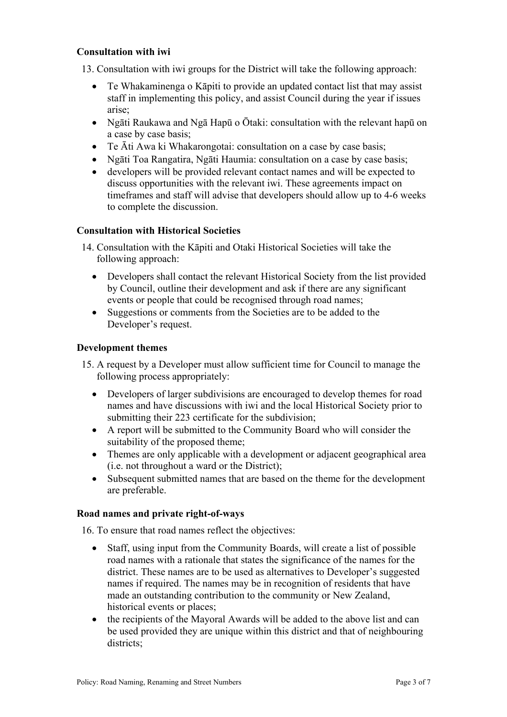## **Consultation with iwi**

13. Consultation with iwi groups for the District will take the following approach:

- Te Whakaminenga o Kāpiti to provide an updated contact list that may assist staff in implementing this policy, and assist Council during the year if issues arise;
- Ngāti Raukawa and Ngā Hapū o Ōtaki: consultation with the relevant hapū on a case by case basis;
- Te Āti Awa ki Whakarongotai: consultation on a case by case basis;
- Ngāti Toa Rangatira, Ngāti Haumia: consultation on a case by case basis;
- developers will be provided relevant contact names and will be expected to discuss opportunities with the relevant iwi. These agreements impact on timeframes and staff will advise that developers should allow up to 4-6 weeks to complete the discussion.

## **Consultation with Historical Societies**

- 14. Consultation with the Kāpiti and Otaki Historical Societies will take the following approach:
	- Developers shall contact the relevant Historical Society from the list provided by Council, outline their development and ask if there are any significant events or people that could be recognised through road names;
	- Suggestions or comments from the Societies are to be added to the Developer's request.

## **Development themes**

- 15. A request by a Developer must allow sufficient time for Council to manage the following process appropriately:
	- Developers of larger subdivisions are encouraged to develop themes for road names and have discussions with iwi and the local Historical Society prior to submitting their 223 certificate for the subdivision;
	- A report will be submitted to the Community Board who will consider the suitability of the proposed theme;
	- Themes are only applicable with a development or adjacent geographical area (i.e. not throughout a ward or the District);
	- Subsequent submitted names that are based on the theme for the development are preferable.

## **Road names and private right-of-ways**

16. To ensure that road names reflect the objectives:

- Staff, using input from the Community Boards, will create a list of possible road names with a rationale that states the significance of the names for the district. These names are to be used as alternatives to Developer's suggested names if required. The names may be in recognition of residents that have made an outstanding contribution to the community or New Zealand, historical events or places;
- the recipients of the Mayoral Awards will be added to the above list and can be used provided they are unique within this district and that of neighbouring districts: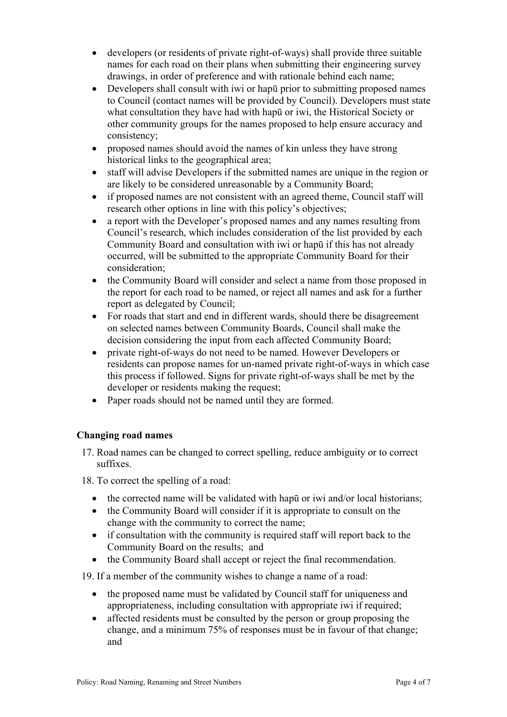- developers (or residents of private right-of-ways) shall provide three suitable names for each road on their plans when submitting their engineering survey drawings, in order of preference and with rationale behind each name;
- Developers shall consult with iwi or hapū prior to submitting proposed names to Council (contact names will be provided by Council). Developers must state what consultation they have had with hapū or iwi, the Historical Society or other community groups for the names proposed to help ensure accuracy and consistency;
- proposed names should avoid the names of kin unless they have strong historical links to the geographical area;
- staff will advise Developers if the submitted names are unique in the region or are likely to be considered unreasonable by a Community Board;
- if proposed names are not consistent with an agreed theme, Council staff will research other options in line with this policy's objectives;
- a report with the Developer's proposed names and any names resulting from Council's research, which includes consideration of the list provided by each Community Board and consultation with iwi or hapū if this has not already occurred, will be submitted to the appropriate Community Board for their consideration;
- the Community Board will consider and select a name from those proposed in the report for each road to be named, or reject all names and ask for a further report as delegated by Council;
- For roads that start and end in different wards, should there be disagreement on selected names between Community Boards, Council shall make the decision considering the input from each affected Community Board;
- private right-of-ways do not need to be named. However Developers or residents can propose names for un-named private right-of-ways in which case this process if followed. Signs for private right-of-ways shall be met by the developer or residents making the request;
- Paper roads should not be named until they are formed.

## **Changing road names**

17. Road names can be changed to correct spelling, reduce ambiguity or to correct suffixes.

18. To correct the spelling of a road:

- the corrected name will be validated with hapū or iwi and/or local historians;
- the Community Board will consider if it is appropriate to consult on the change with the community to correct the name;
- if consultation with the community is required staff will report back to the Community Board on the results; and
- the Community Board shall accept or reject the final recommendation.

19. If a member of the community wishes to change a name of a road:

- the proposed name must be validated by Council staff for uniqueness and appropriateness, including consultation with appropriate iwi if required;
- affected residents must be consulted by the person or group proposing the change, and a minimum 75% of responses must be in favour of that change; and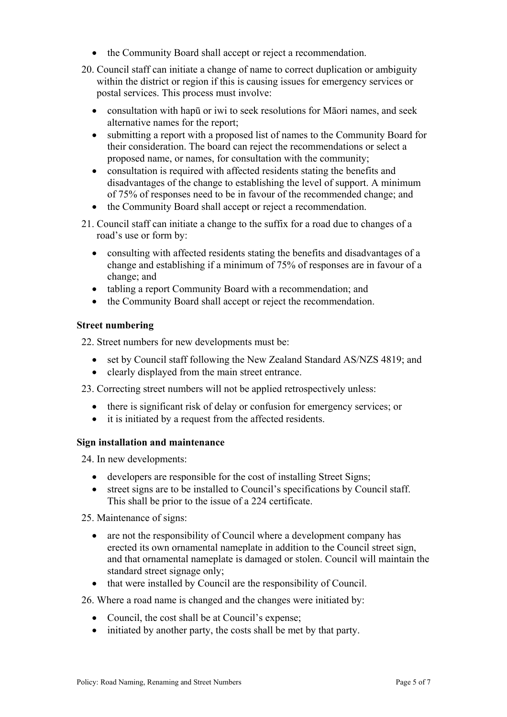- the Community Board shall accept or reject a recommendation.
- 20. Council staff can initiate a change of name to correct duplication or ambiguity within the district or region if this is causing issues for emergency services or postal services. This process must involve:
	- consultation with hapū or iwi to seek resolutions for Māori names, and seek alternative names for the report;
	- submitting a report with a proposed list of names to the Community Board for their consideration. The board can reject the recommendations or select a proposed name, or names, for consultation with the community;
	- consultation is required with affected residents stating the benefits and disadvantages of the change to establishing the level of support. A minimum of 75% of responses need to be in favour of the recommended change; and
	- the Community Board shall accept or reject a recommendation.
- 21. Council staff can initiate a change to the suffix for a road due to changes of a road's use or form by:
	- consulting with affected residents stating the benefits and disadvantages of a change and establishing if a minimum of 75% of responses are in favour of a change; and
	- tabling a report Community Board with a recommendation; and
	- the Community Board shall accept or reject the recommendation.

## **Street numbering**

22. Street numbers for new developments must be:

- set by Council staff following the New Zealand Standard AS/NZS 4819; and
- clearly displayed from the main street entrance.

23. Correcting street numbers will not be applied retrospectively unless:

- there is significant risk of delay or confusion for emergency services; or
- it is initiated by a request from the affected residents.

## **Sign installation and maintenance**

24. In new developments:

- developers are responsible for the cost of installing Street Signs;
- street signs are to be installed to Council's specifications by Council staff. This shall be prior to the issue of a 224 certificate.

25. Maintenance of signs:

- are not the responsibility of Council where a development company has erected its own ornamental nameplate in addition to the Council street sign, and that ornamental nameplate is damaged or stolen. Council will maintain the standard street signage only;
- that were installed by Council are the responsibility of Council.

26. Where a road name is changed and the changes were initiated by:

- Council, the cost shall be at Council's expense;
- initiated by another party, the costs shall be met by that party.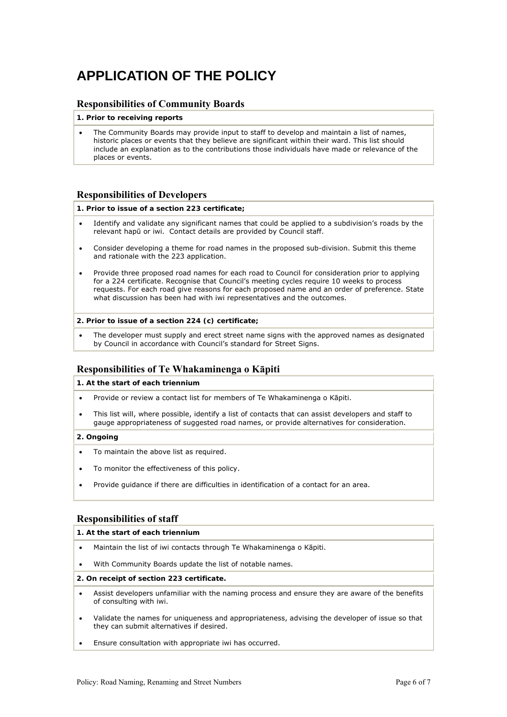# **APPLICATION OF THE POLICY**

### **Responsibilities of Community Boards**

#### **1. Prior to receiving reports**

 The Community Boards may provide input to staff to develop and maintain a list of names, historic places or events that they believe are significant within their ward. This list should include an explanation as to the contributions those individuals have made or relevance of the places or events.

#### **Responsibilities of Developers**

#### **1. Prior to issue of a section 223 certificate;**

- Identify and validate any significant names that could be applied to a subdivision's roads by the relevant hapū or iwi. Contact details are provided by Council staff.
- Consider developing a theme for road names in the proposed sub-division. Submit this theme and rationale with the 223 application.
- Provide three proposed road names for each road to Council for consideration prior to applying for a 224 certificate. Recognise that Council's meeting cycles require 10 weeks to process requests. For each road give reasons for each proposed name and an order of preference. State what discussion has been had with iwi representatives and the outcomes.

#### **2. Prior to issue of a section 224 (c) certificate;**

 The developer must supply and erect street name signs with the approved names as designated by Council in accordance with Council's standard for Street Signs.

#### **Responsibilities of Te Whakaminenga o Kāpiti**

#### **1. At the start of each triennium**

- Provide or review a contact list for members of Te Whakaminenga o Kāpiti.
- This list will, where possible, identify a list of contacts that can assist developers and staff to gauge appropriateness of suggested road names, or provide alternatives for consideration.

#### **2. Ongoing**

- To maintain the above list as required.
- To monitor the effectiveness of this policy.
- Provide guidance if there are difficulties in identification of a contact for an area.

#### **Responsibilities of staff**

#### **1. At the start of each triennium**

- Maintain the list of iwi contacts through Te Whakaminenga o Kāpiti.
- With Community Boards update the list of notable names.

#### **2. On receipt of section 223 certificate.**

- Assist developers unfamiliar with the naming process and ensure they are aware of the benefits of consulting with iwi.
- Validate the names for uniqueness and appropriateness, advising the developer of issue so that they can submit alternatives if desired.
- Ensure consultation with appropriate iwi has occurred.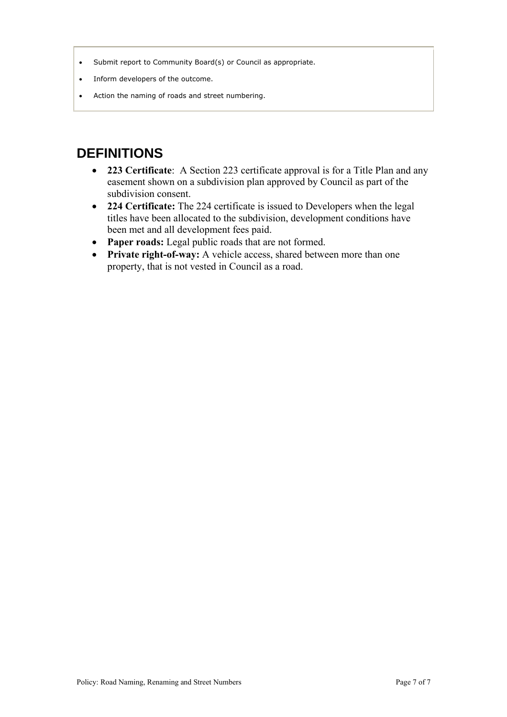- Submit report to Community Board(s) or Council as appropriate.
- Inform developers of the outcome.
- Action the naming of roads and street numbering.

# **DEFINITIONS**

- **223 Certificate**: A Section 223 certificate approval is for a Title Plan and any easement shown on a subdivision plan approved by Council as part of the subdivision consent.
- **224 Certificate:** The 224 certificate is issued to Developers when the legal titles have been allocated to the subdivision, development conditions have been met and all development fees paid.
- Paper roads: Legal public roads that are not formed.
- **•** Private right-of-way: A vehicle access, shared between more than one property, that is not vested in Council as a road.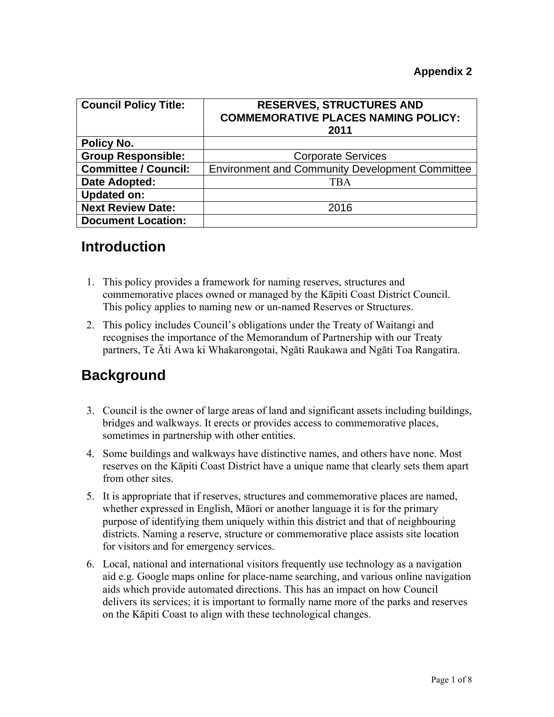| <b>Council Policy Title:</b> | <b>RESERVES, STRUCTURES AND</b><br><b>COMMEMORATIVE PLACES NAMING POLICY:</b><br>2011 |
|------------------------------|---------------------------------------------------------------------------------------|
| Policy No.                   |                                                                                       |
| <b>Group Responsible:</b>    | <b>Corporate Services</b>                                                             |
| <b>Committee / Council:</b>  | <b>Environment and Community Development Committee</b>                                |
| Date Adopted:                | <b>TBA</b>                                                                            |
| <b>Updated on:</b>           |                                                                                       |
| <b>Next Review Date:</b>     | 2016                                                                                  |
| <b>Document Location:</b>    |                                                                                       |

## **Introduction**

- 1. This policy provides a framework for naming reserves, structures and commemorative places owned or managed by the Kāpiti Coast District Council. This policy applies to naming new or un-named Reserves or Structures.
- 2. This policy includes Council's obligations under the Treaty of Waitangi and recognises the importance of the Memorandum of Partnership with our Treaty partners, Te Āti Awa ki Whakarongotai, Ngāti Raukawa and Ngāti Toa Rangatira.

## **Background**

- 3. Council is the owner of large areas of land and significant assets including buildings, bridges and walkways. It erects or provides access to commemorative places, sometimes in partnership with other entities.
- 4. Some buildings and walkways have distinctive names, and others have none. Most reserves on the Kāpiti Coast District have a unique name that clearly sets them apart from other sites.
- 5. It is appropriate that if reserves, structures and commemorative places are named, whether expressed in English, Māori or another language it is for the primary purpose of identifying them uniquely within this district and that of neighbouring districts. Naming a reserve, structure or commemorative place assists site location for visitors and for emergency services.
- 6. Local, national and international visitors frequently use technology as a navigation aid e.g. Google maps online for place-name searching, and various online navigation aids which provide automated directions. This has an impact on how Council delivers its services; it is important to formally name more of the parks and reserves on the Kāpiti Coast to align with these technological changes.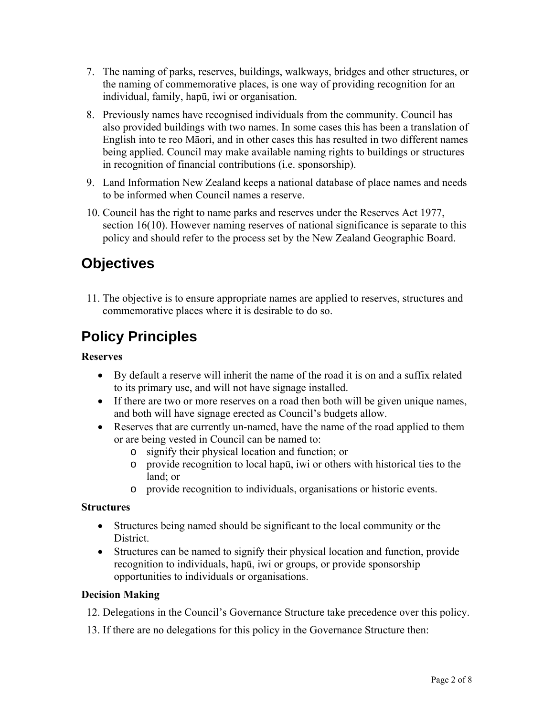- 7. The naming of parks, reserves, buildings, walkways, bridges and other structures, or the naming of commemorative places, is one way of providing recognition for an individual, family, hapū, iwi or organisation.
- 8. Previously names have recognised individuals from the community. Council has also provided buildings with two names. In some cases this has been a translation of English into te reo Māori, and in other cases this has resulted in two different names being applied. Council may make available naming rights to buildings or structures in recognition of financial contributions (i.e. sponsorship).
- 9. Land Information New Zealand keeps a national database of place names and needs to be informed when Council names a reserve.
- 10. Council has the right to name parks and reserves under the Reserves Act 1977, section 16(10). However naming reserves of national significance is separate to this policy and should refer to the process set by the New Zealand Geographic Board.

# **Objectives**

11. The objective is to ensure appropriate names are applied to reserves, structures and commemorative places where it is desirable to do so.

# **Policy Principles**

## **Reserves**

- By default a reserve will inherit the name of the road it is on and a suffix related to its primary use, and will not have signage installed.
- If there are two or more reserves on a road then both will be given unique names, and both will have signage erected as Council's budgets allow.
- Reserves that are currently un-named, have the name of the road applied to them or are being vested in Council can be named to:
	- o signify their physical location and function; or
	- o provide recognition to local hapū, iwi or others with historical ties to the land; or
	- o provide recognition to individuals, organisations or historic events.

## **Structures**

- Structures being named should be significant to the local community or the District.
- Structures can be named to signify their physical location and function, provide recognition to individuals, hapū, iwi or groups, or provide sponsorship opportunities to individuals or organisations.

## **Decision Making**

- 12. Delegations in the Council's Governance Structure take precedence over this policy.
- 13. If there are no delegations for this policy in the Governance Structure then: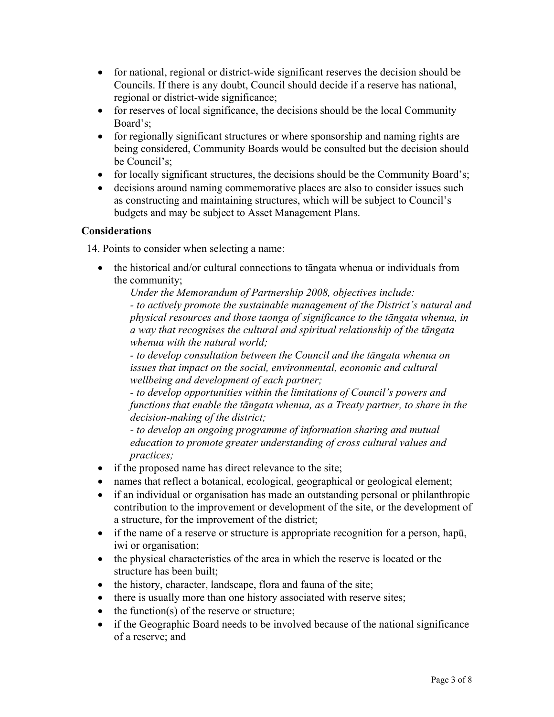- for national, regional or district-wide significant reserves the decision should be Councils. If there is any doubt, Council should decide if a reserve has national, regional or district-wide significance;
- for reserves of local significance, the decisions should be the local Community Board's;
- for regionally significant structures or where sponsorship and naming rights are being considered, Community Boards would be consulted but the decision should be Council's;
- for locally significant structures, the decisions should be the Community Board's;
- decisions around naming commemorative places are also to consider issues such as constructing and maintaining structures, which will be subject to Council's budgets and may be subject to Asset Management Plans.

## **Considerations**

14. Points to consider when selecting a name:

 the historical and/or cultural connections to tāngata whenua or individuals from the community;

*Under the Memorandum of Partnership 2008, objectives include:*

*- to actively promote the sustainable management of the District's natural and physical resources and those taonga of significance to the tāngata whenua, in a way that recognises the cultural and spiritual relationship of the tāngata whenua with the natural world;* 

*- to develop consultation between the Council and the tāngata whenua on issues that impact on the social, environmental, economic and cultural wellbeing and development of each partner;* 

*- to develop opportunities within the limitations of Council's powers and functions that enable the tāngata whenua, as a Treaty partner, to share in the decision-making of the district;* 

*- to develop an ongoing programme of information sharing and mutual education to promote greater understanding of cross cultural values and practices;*

- if the proposed name has direct relevance to the site;
- names that reflect a botanical, ecological, geographical or geological element;
- if an individual or organisation has made an outstanding personal or philanthropic contribution to the improvement or development of the site, or the development of a structure, for the improvement of the district;
- if the name of a reserve or structure is appropriate recognition for a person, hapū, iwi or organisation;
- the physical characteristics of the area in which the reserve is located or the structure has been built;
- $\bullet$  the history, character, landscape, flora and fauna of the site;
- there is usually more than one history associated with reserve sites;
- $\bullet$  the function(s) of the reserve or structure;
- if the Geographic Board needs to be involved because of the national significance of a reserve; and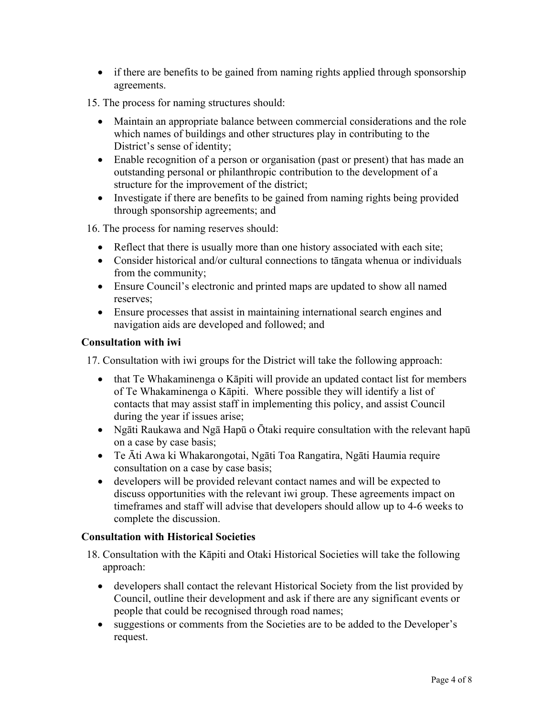- if there are benefits to be gained from naming rights applied through sponsorship agreements.
- 15. The process for naming structures should:
	- Maintain an appropriate balance between commercial considerations and the role which names of buildings and other structures play in contributing to the District's sense of identity;
	- Enable recognition of a person or organisation (past or present) that has made an outstanding personal or philanthropic contribution to the development of a structure for the improvement of the district;
	- Investigate if there are benefits to be gained from naming rights being provided through sponsorship agreements; and

16. The process for naming reserves should:

- Reflect that there is usually more than one history associated with each site;
- Consider historical and/or cultural connections to tāngata whenua or individuals from the community;
- Ensure Council's electronic and printed maps are updated to show all named reserves;
- Ensure processes that assist in maintaining international search engines and navigation aids are developed and followed; and

## **Consultation with iwi**

17. Consultation with iwi groups for the District will take the following approach:

- that Te Whakaminenga o Kāpiti will provide an updated contact list for members of Te Whakaminenga o Kāpiti. Where possible they will identify a list of contacts that may assist staff in implementing this policy, and assist Council during the year if issues arise;
- Ngāti Raukawa and Ngā Hapū o Ōtaki require consultation with the relevant hapū on a case by case basis;
- Te Āti Awa ki Whakarongotai, Ngāti Toa Rangatira, Ngāti Haumia require consultation on a case by case basis;
- developers will be provided relevant contact names and will be expected to discuss opportunities with the relevant iwi group. These agreements impact on timeframes and staff will advise that developers should allow up to 4-6 weeks to complete the discussion.

## **Consultation with Historical Societies**

- 18. Consultation with the Kāpiti and Otaki Historical Societies will take the following approach:
	- developers shall contact the relevant Historical Society from the list provided by Council, outline their development and ask if there are any significant events or people that could be recognised through road names;
	- suggestions or comments from the Societies are to be added to the Developer's request.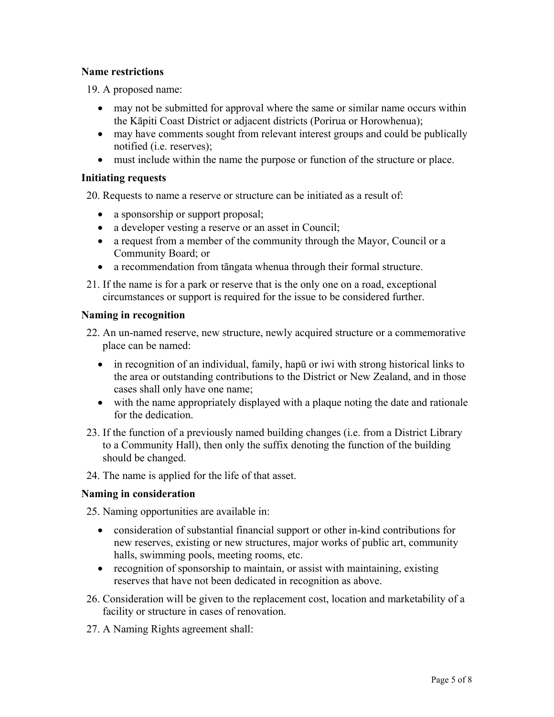## **Name restrictions**

19. A proposed name:

- may not be submitted for approval where the same or similar name occurs within the Kāpiti Coast District or adjacent districts (Porirua or Horowhenua);
- may have comments sought from relevant interest groups and could be publically notified (i.e. reserves);
- must include within the name the purpose or function of the structure or place.

## **Initiating requests**

20. Requests to name a reserve or structure can be initiated as a result of:

- a sponsorship or support proposal;
- a developer vesting a reserve or an asset in Council;
- a request from a member of the community through the Mayor, Council or a Community Board; or
- a recommendation from tāngata whenua through their formal structure.
- 21. If the name is for a park or reserve that is the only one on a road, exceptional circumstances or support is required for the issue to be considered further.

## **Naming in recognition**

- 22. An un-named reserve, new structure, newly acquired structure or a commemorative place can be named:
	- in recognition of an individual, family, hapū or iwi with strong historical links to the area or outstanding contributions to the District or New Zealand, and in those cases shall only have one name;
	- with the name appropriately displayed with a plaque noting the date and rationale for the dedication.
- 23. If the function of a previously named building changes (i.e. from a District Library to a Community Hall), then only the suffix denoting the function of the building should be changed.
- 24. The name is applied for the life of that asset.

## **Naming in consideration**

25. Naming opportunities are available in:

- consideration of substantial financial support or other in-kind contributions for new reserves, existing or new structures, major works of public art, community halls, swimming pools, meeting rooms, etc.
- recognition of sponsorship to maintain, or assist with maintaining, existing reserves that have not been dedicated in recognition as above.
- 26. Consideration will be given to the replacement cost, location and marketability of a facility or structure in cases of renovation.
- 27. A Naming Rights agreement shall: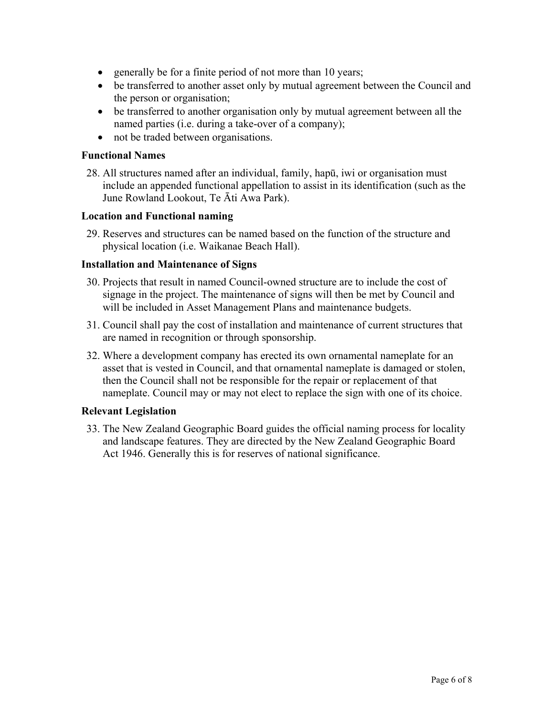- generally be for a finite period of not more than 10 years;
- be transferred to another asset only by mutual agreement between the Council and the person or organisation;
- be transferred to another organisation only by mutual agreement between all the named parties (i.e. during a take-over of a company);
- not be traded between organisations.

### **Functional Names**

28. All structures named after an individual, family, hapū, iwi or organisation must include an appended functional appellation to assist in its identification (such as the June Rowland Lookout, Te Āti Awa Park).

### **Location and Functional naming**

29. Reserves and structures can be named based on the function of the structure and physical location (i.e. Waikanae Beach Hall).

## **Installation and Maintenance of Signs**

- 30. Projects that result in named Council-owned structure are to include the cost of signage in the project. The maintenance of signs will then be met by Council and will be included in Asset Management Plans and maintenance budgets.
- 31. Council shall pay the cost of installation and maintenance of current structures that are named in recognition or through sponsorship.
- 32. Where a development company has erected its own ornamental nameplate for an asset that is vested in Council, and that ornamental nameplate is damaged or stolen, then the Council shall not be responsible for the repair or replacement of that nameplate. Council may or may not elect to replace the sign with one of its choice.

## **Relevant Legislation**

33. The New Zealand Geographic Board guides the official naming process for locality and landscape features. They are directed by the New Zealand Geographic Board Act 1946. Generally this is for reserves of national significance.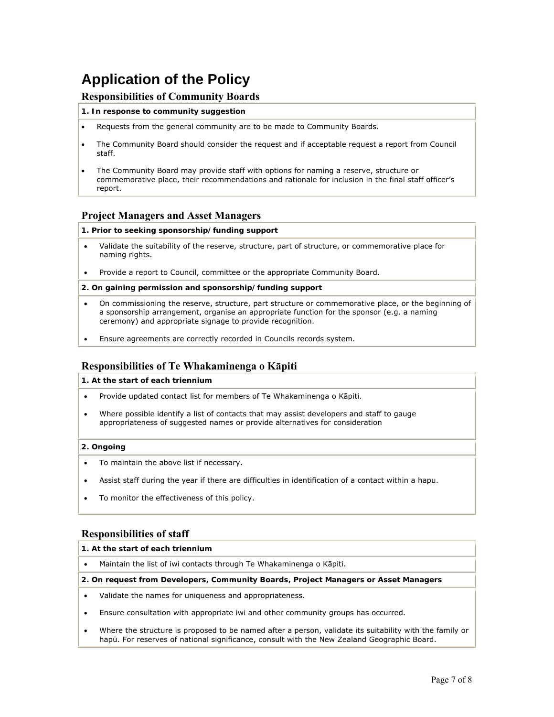# **Application of the Policy**

### **Responsibilities of Community Boards**

#### **1. In response to community suggestion**

- Requests from the general community are to be made to Community Boards.
- The Community Board should consider the request and if acceptable request a report from Council staff.
- The Community Board may provide staff with options for naming a reserve, structure or commemorative place, their recommendations and rationale for inclusion in the final staff officer's report.

#### **Project Managers and Asset Managers**

#### **1. Prior to seeking sponsorship/funding support**

- Validate the suitability of the reserve, structure, part of structure, or commemorative place for naming rights.
- Provide a report to Council, committee or the appropriate Community Board.

#### **2. On gaining permission and sponsorship/funding support**

- On commissioning the reserve, structure, part structure or commemorative place, or the beginning of a sponsorship arrangement, organise an appropriate function for the sponsor (e.g. a naming ceremony) and appropriate signage to provide recognition.
- Ensure agreements are correctly recorded in Councils records system.

#### **Responsibilities of Te Whakaminenga o Kāpiti**

**1. At the start of each triennium**

- Provide updated contact list for members of Te Whakaminenga o Kāpiti.
- Where possible identify a list of contacts that may assist developers and staff to gauge appropriateness of suggested names or provide alternatives for consideration

#### **2. Ongoing**

- To maintain the above list if necessary.
- Assist staff during the year if there are difficulties in identification of a contact within a hapu.
- To monitor the effectiveness of this policy.

#### **Responsibilities of staff**

#### **1. At the start of each triennium**

Maintain the list of iwi contacts through Te Whakaminenga o Kāpiti.

#### **2. On request from Developers, Community Boards, Project Managers or Asset Managers**

- Validate the names for uniqueness and appropriateness.
- Ensure consultation with appropriate iwi and other community groups has occurred.
- Where the structure is proposed to be named after a person, validate its suitability with the family or hapū. For reserves of national significance, consult with the New Zealand Geographic Board.